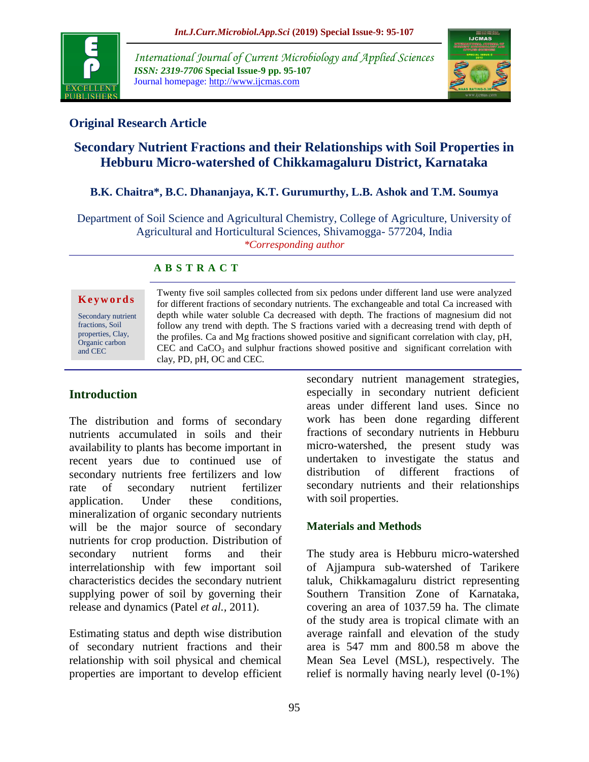

*International Journal of Current Microbiology and Applied Sciences ISSN: 2319-7706* **Special Issue-9 pp. 95-107** Journal homepage: http://www.ijcmas.com



## **Original Research Article**

# **Secondary Nutrient Fractions and their Relationships with Soil Properties in Hebburu Micro-watershed of Chikkamagaluru District, Karnataka**

#### **B.K. Chaitra\*, B.C. Dhananjaya, K.T. Gurumurthy, L.B. Ashok and T.M. Soumya**

Department of Soil Science and Agricultural Chemistry, College of Agriculture, University of Agricultural and Horticultural Sciences, Shivamogga- 577204, India *\*Corresponding author*

#### **A B S T R A C T**

#### **K e y w o r d s**

Secondary nutrient fractions, Soil properties, Clay, Organic carbon and CEC

Twenty five soil samples collected from six pedons under different land use were analyzed for different fractions of secondary nutrients. The exchangeable and total Ca increased with depth while water soluble Ca decreased with depth. The fractions of magnesium did not follow any trend with depth. The S fractions varied with a decreasing trend with depth of the profiles. Ca and Mg fractions showed positive and significant correlation with clay, pH, CEC and  $CaCO<sub>3</sub>$  and sulphur fractions showed positive and significant correlation with clay, PD, pH, OC and CEC.

### **Introduction**

The distribution and forms of secondary nutrients accumulated in soils and their availability to plants has become important in recent years due to continued use of secondary nutrients free fertilizers and low rate of secondary nutrient fertilizer application. Under these conditions, mineralization of organic secondary nutrients will be the major source of secondary nutrients for crop production. Distribution of secondary nutrient forms and their interrelationship with few important soil characteristics decides the secondary nutrient supplying power of soil by governing their release and dynamics (Patel *et al.,* 2011).

Estimating status and depth wise distribution of secondary nutrient fractions and their relationship with soil physical and chemical properties are important to develop efficient secondary nutrient management strategies, especially in secondary nutrient deficient areas under different land uses. Since no work has been done regarding different fractions of secondary nutrients in Hebburu micro-watershed, the present study was undertaken to investigate the status and distribution of different fractions of secondary nutrients and their relationships with soil properties.

#### **Materials and Methods**

The study area is Hebburu micro-watershed of Ajjampura sub-watershed of Tarikere taluk, Chikkamagaluru district representing Southern Transition Zone of Karnataka, covering an area of 1037.59 ha. The climate of the study area is tropical climate with an average rainfall and elevation of the study area is 547 mm and 800.58 m above the Mean Sea Level (MSL), respectively. The relief is normally having nearly level (0-1%)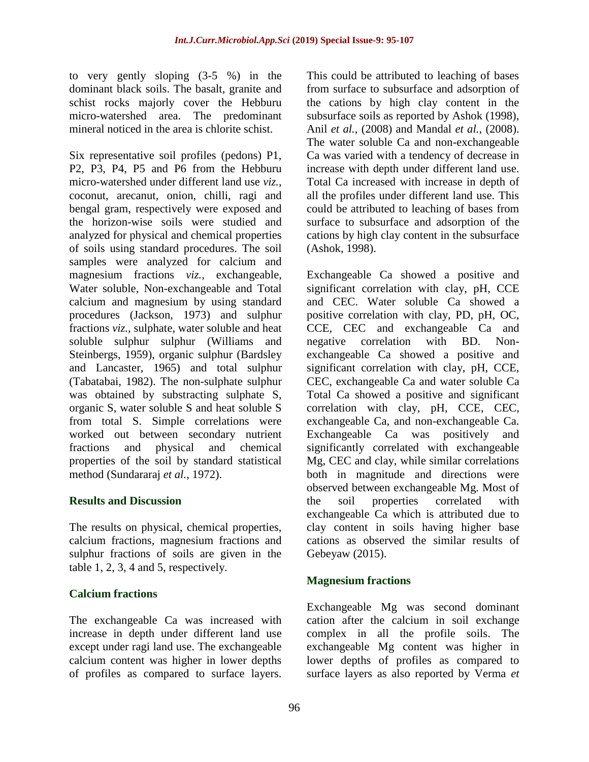to very gently sloping (3-5 %) in the dominant black soils. The basalt, granite and schist rocks majorly cover the Hebburu micro-watershed area. The predominant mineral noticed in the area is chlorite schist.

Six representative soil profiles (pedons) P1, P2, P3, P4, P5 and P6 from the Hebburu micro-watershed under different land use *viz.*, coconut, arecanut, onion, chilli, ragi and bengal gram, respectively were exposed and the horizon-wise soils were studied and analyzed for physical and chemical properties of soils using standard procedures. The soil samples were analyzed for calcium and magnesium fractions *viz.,* exchangeable, Water soluble, Non-exchangeable and Total calcium and magnesium by using standard procedures (Jackson, 1973) and sulphur fractions *viz.,* sulphate, water soluble and heat soluble sulphur sulphur (Williams and Steinbergs, 1959), organic sulphur (Bardsley and Lancaster, 1965) and total sulphur (Tabatabai, 1982). The non-sulphate sulphur was obtained by substracting sulphate S, organic S, water soluble S and heat soluble S from total S. Simple correlations were worked out between secondary nutrient fractions and physical and chemical properties of the soil by standard statistical method (Sundararaj *et al.,* 1972).

### **Results and Discussion**

The results on physical, chemical properties, calcium fractions, magnesium fractions and sulphur fractions of soils are given in the table 1, 2, 3, 4 and 5, respectively.

### **Calcium fractions**

The exchangeable Ca was increased with increase in depth under different land use except under ragi land use. The exchangeable calcium content was higher in lower depths of profiles as compared to surface layers.

This could be attributed to leaching of bases from surface to subsurface and adsorption of the cations by high clay content in the subsurface soils as reported by Ashok (1998), Anil *et al.,* (2008) and Mandal *et al.,* (2008). The water soluble Ca and non-exchangeable Ca was varied with a tendency of decrease in increase with depth under different land use. Total Ca increased with increase in depth of all the profiles under different land use. This could be attributed to leaching of bases from surface to subsurface and adsorption of the cations by high clay content in the subsurface (Ashok, 1998).

Exchangeable Ca showed a positive and significant correlation with clay, pH, CCE and CEC. Water soluble Ca showed a positive correlation with clay, PD, pH, OC, CCE, CEC and exchangeable Ca and negative correlation with BD. Nonexchangeable Ca showed a positive and significant correlation with clay, pH, CCE, CEC, exchangeable Ca and water soluble Ca Total Ca showed a positive and significant correlation with clay, pH, CCE, CEC, exchangeable Ca, and non-exchangeable Ca. Exchangeable Ca was positively and significantly correlated with exchangeable Mg, CEC and clay, while similar correlations both in magnitude and directions were observed between exchangeable Mg. Most of the soil properties correlated with exchangeable Ca which is attributed due to clay content in soils having higher base cations as observed the similar results of Gebeyaw (2015).

### **Magnesium fractions**

Exchangeable Mg was second dominant cation after the calcium in soil exchange complex in all the profile soils. The exchangeable Mg content was higher in lower depths of profiles as compared to surface layers as also reported by Verma *et*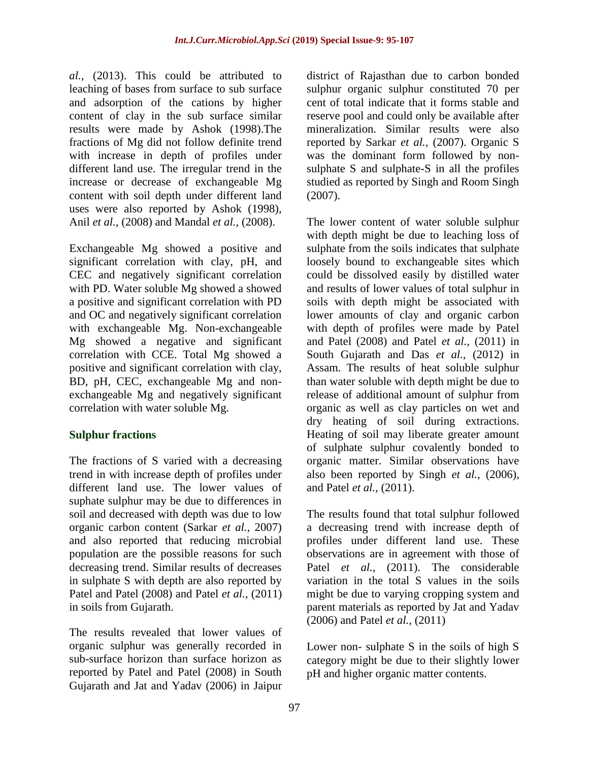*al.,* (2013). This could be attributed to leaching of bases from surface to sub surface and adsorption of the cations by higher content of clay in the sub surface similar results were made by Ashok (1998).The fractions of Mg did not follow definite trend with increase in depth of profiles under different land use. The irregular trend in the increase or decrease of exchangeable Mg content with soil depth under different land uses were also reported by Ashok (1998), Anil *et al.,* (2008) and Mandal *et al.,* (2008).

Exchangeable Mg showed a positive and significant correlation with clay, pH, and CEC and negatively significant correlation with PD. Water soluble Mg showed a showed a positive and significant correlation with PD and OC and negatively significant correlation with exchangeable Mg. Non-exchangeable Mg showed a negative and significant correlation with CCE. Total Mg showed a positive and significant correlation with clay, BD, pH, CEC, exchangeable Mg and nonexchangeable Mg and negatively significant correlation with water soluble Mg.

#### **Sulphur fractions**

The fractions of S varied with a decreasing trend in with increase depth of profiles under different land use. The lower values of suphate sulphur may be due to differences in soil and decreased with depth was due to low organic carbon content (Sarkar *et al.,* 2007) and also reported that reducing microbial population are the possible reasons for such decreasing trend. Similar results of decreases in sulphate S with depth are also reported by Patel and Patel (2008) and Patel *et al.,* (2011) in soils from Gujarath.

The results revealed that lower values of organic sulphur was generally recorded in sub-surface horizon than surface horizon as reported by Patel and Patel (2008) in South Gujarath and Jat and Yadav (2006) in Jaipur district of Rajasthan due to carbon bonded sulphur organic sulphur constituted 70 per cent of total indicate that it forms stable and reserve pool and could only be available after mineralization. Similar results were also reported by Sarkar *et al.,* (2007). Organic S was the dominant form followed by nonsulphate S and sulphate-S in all the profiles studied as reported by Singh and Room Singh (2007).

The lower content of water soluble sulphur with depth might be due to leaching loss of sulphate from the soils indicates that sulphate loosely bound to exchangeable sites which could be dissolved easily by distilled water and results of lower values of total sulphur in soils with depth might be associated with lower amounts of clay and organic carbon with depth of profiles were made by Patel and Patel (2008) and Patel *et al.,* (2011) in South Gujarath and Das *et al.*, (2012) in Assam. The results of heat soluble sulphur than water soluble with depth might be due to release of additional amount of sulphur from organic as well as clay particles on wet and dry heating of soil during extractions. Heating of soil may liberate greater amount of sulphate sulphur covalently bonded to organic matter. Similar observations have also been reported by Singh *et al.,* (2006), and Patel *et al.,* (2011).

The results found that total sulphur followed a decreasing trend with increase depth of profiles under different land use. These observations are in agreement with those of Patel *et al.*, (2011). The considerable variation in the total S values in the soils might be due to varying cropping system and parent materials as reported by Jat and Yadav (2006) and Patel *et al.,* (2011)

Lower non- sulphate S in the soils of high S category might be due to their slightly lower pH and higher organic matter contents.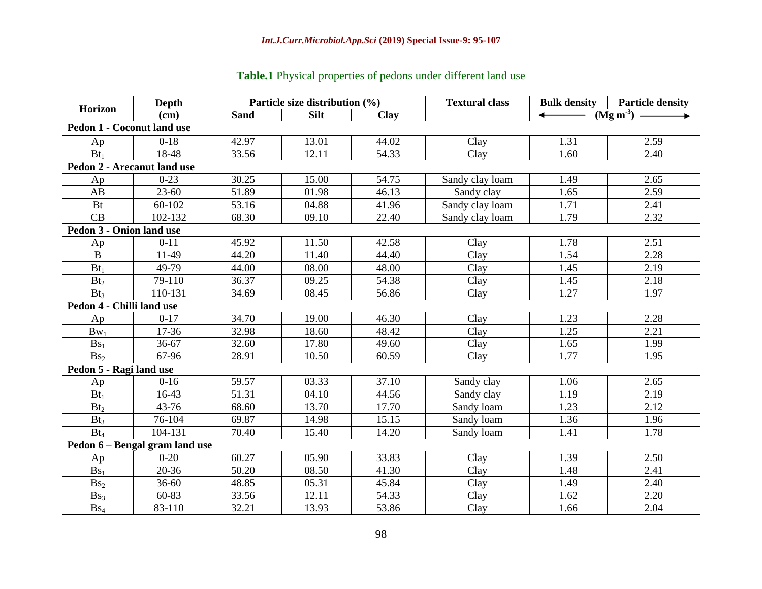# **Table.1** Physical properties of pedons under different land use

| <b>Depth</b><br>Horizon           |                                |             | Particle size distribution $(\% )$ |             | <b>Textural class</b> | <b>Bulk density</b> | <b>Particle density</b> |
|-----------------------------------|--------------------------------|-------------|------------------------------------|-------------|-----------------------|---------------------|-------------------------|
|                                   | (cm)                           | <b>Sand</b> | <b>Silt</b>                        | <b>Clay</b> |                       |                     | $(Mg m-3)$              |
| <b>Pedon 1 - Coconut land use</b> |                                |             |                                    |             |                       |                     |                         |
| Ap                                | $0-18$                         | 42.97       | 13.01                              | 44.02       | Clay                  | 1.31                | 2.59                    |
| $Bt_1$                            | 18-48                          | 33.56       | 12.11                              | 54.33       | Clay                  | 1.60                | 2.40                    |
| Pedon 2 - Arecanut land use       |                                |             |                                    |             |                       |                     |                         |
| Ap                                | $0 - 23$                       | 30.25       | 15.00                              | 54.75       | Sandy clay loam       | 1.49                | 2.65                    |
| AB                                | $23 - 60$                      | 51.89       | 01.98                              | 46.13       | Sandy clay            | 1.65                | 2.59                    |
| <b>Bt</b>                         | 60-102                         | 53.16       | 04.88                              | 41.96       | Sandy clay loam       | 1.71                | 2.41                    |
| CB                                | 102-132                        | 68.30       | 09.10                              | 22.40       | Sandy clay loam       | 1.79                | 2.32                    |
| Pedon 3 - Onion land use          |                                |             |                                    |             |                       |                     |                         |
| Ap                                | $0 - 11$                       | 45.92       | 11.50                              | 42.58       | Clay                  | 1.78                | 2.51                    |
| $\mathbf{B}$                      | 11-49                          | 44.20       | 11.40                              | 44.40       | Clay                  | 1.54                | 2.28                    |
| $Bt_1$                            | 49-79                          | 44.00       | 08.00                              | 48.00       | Clay                  | 1.45                | 2.19                    |
| Bt <sub>2</sub>                   | 79-110                         | 36.37       | 09.25                              | 54.38       | Clay                  | 1.45                | 2.18                    |
| Bt <sub>3</sub>                   | 110-131                        | 34.69       | 08.45                              | 56.86       | Clay                  | 1.27                | 1.97                    |
| Pedon 4 - Chilli land use         |                                |             |                                    |             |                       |                     |                         |
| Ap                                | $0-17$                         | 34.70       | 19.00                              | 46.30       | Clay                  | 1.23                | 2.28                    |
| $Bw_1$                            | 17-36                          | 32.98       | 18.60                              | 48.42       | Clay                  | 1.25                | 2.21                    |
| $Bs_1$                            | 36-67                          | 32.60       | 17.80                              | 49.60       | Clay                  | 1.65                | 1.99                    |
| Bs <sub>2</sub>                   | 67-96                          | 28.91       | 10.50                              | 60.59       | Clay                  | 1.77                | 1.95                    |
| Pedon 5 - Ragi land use           |                                |             |                                    |             |                       |                     |                         |
| Ap                                | $0-16$                         | 59.57       | 03.33                              | 37.10       | Sandy clay            | 1.06                | 2.65                    |
| $Bt_1$                            | 16-43                          | 51.31       | 04.10                              | 44.56       | Sandy clay            | 1.19                | 2.19                    |
| Bt <sub>2</sub>                   | $43 - 76$                      | 68.60       | 13.70                              | 17.70       | Sandy loam            | 1.23                | 2.12                    |
| Bt <sub>3</sub>                   | 76-104                         | 69.87       | 14.98                              | 15.15       | Sandy loam            | 1.36                | 1.96                    |
| $Bt_4$                            | 104-131                        | 70.40       | 15.40                              | 14.20       | Sandy loam            | 1.41                | 1.78                    |
|                                   | Pedon 6 - Bengal gram land use |             |                                    |             |                       |                     |                         |
| Ap                                | $0 - 20$                       | 60.27       | 05.90                              | 33.83       | Clay                  | 1.39                | 2.50                    |
| Bs <sub>1</sub>                   | 20-36                          | 50.20       | 08.50                              | 41.30       | Clay                  | 1.48                | 2.41                    |
| Bs <sub>2</sub>                   | $36 - 60$                      | 48.85       | 05.31                              | 45.84       | Clay                  | 1.49                | 2.40                    |
| Bs <sub>3</sub>                   | 60-83                          | 33.56       | 12.11                              | 54.33       | Clay                  | 1.62                | 2.20                    |
| $Bs_4$                            | 83-110                         | 32.21       | 13.93                              | 53.86       | Clay                  | 1.66                | 2.04                    |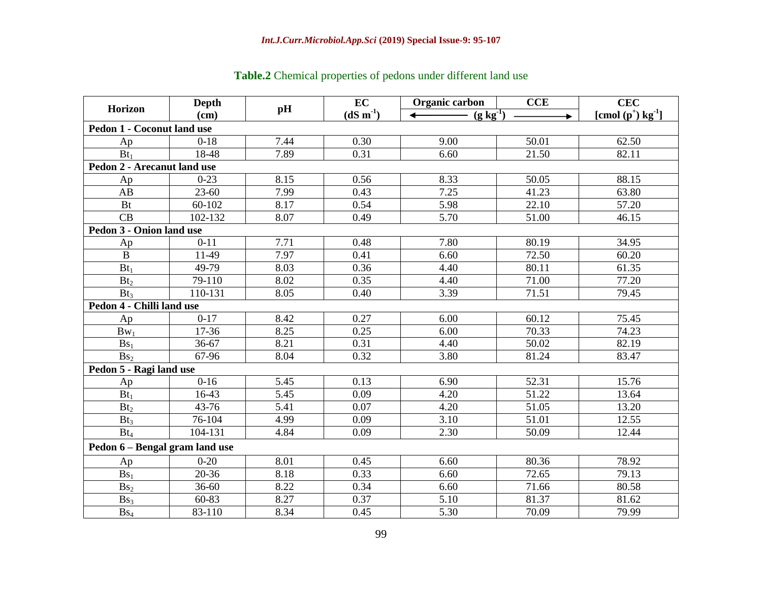| <b>Horizon</b>                 | Depth     | pH   | EC         | Organic carbon | <b>CCE</b> | <b>CEC</b>                       |
|--------------------------------|-----------|------|------------|----------------|------------|----------------------------------|
|                                | (cm)      |      | $(dS m-1)$ | $(g kg^{-1})$  |            | [cmol $(p^+)$ kg <sup>-1</sup> ] |
| Pedon 1 - Coconut land use     |           |      |            |                |            |                                  |
| Ap                             | $0 - 18$  | 7.44 | 0.30       | 9.00           | 50.01      | 62.50                            |
| $Bt_1$                         | 18-48     | 7.89 | 0.31       | 6.60           | 21.50      | 82.11                            |
| Pedon 2 - Arecanut land use    |           |      |            |                |            |                                  |
| Ap                             | $0 - 23$  | 8.15 | 0.56       | 8.33           | 50.05      | 88.15                            |
| AB                             | $23 - 60$ | 7.99 | 0.43       | 7.25           | 41.23      | 63.80                            |
| <b>Bt</b>                      | 60-102    | 8.17 | 0.54       | 5.98           | 22.10      | 57.20                            |
| CB                             | 102-132   | 8.07 | 0.49       | 5.70           | 51.00      | 46.15                            |
| Pedon 3 - Onion land use       |           |      |            |                |            |                                  |
| Ap                             | $0 - 11$  | 7.71 | 0.48       | 7.80           | 80.19      | 34.95                            |
| $\bf{B}$                       | 11-49     | 7.97 | 0.41       | 6.60           | 72.50      | 60.20                            |
| $Bt_1$                         | 49-79     | 8.03 | 0.36       | 4.40           | 80.11      | 61.35                            |
| Bt <sub>2</sub>                | 79-110    | 8.02 | 0.35       | 4.40           | 71.00      | 77.20                            |
| Bt <sub>3</sub>                | 110-131   | 8.05 | 0.40       | 3.39           | 71.51      | 79.45                            |
| Pedon 4 - Chilli land use      |           |      |            |                |            |                                  |
| Ap                             | $0 - 17$  | 8.42 | 0.27       | 6.00           | 60.12      | 75.45                            |
| $Bw_1$                         | 17-36     | 8.25 | 0.25       | 6.00           | 70.33      | 74.23                            |
| $Bs_1$                         | 36-67     | 8.21 | 0.31       | 4.40           | 50.02      | 82.19                            |
| Bs <sub>2</sub>                | 67-96     | 8.04 | 0.32       | 3.80           | 81.24      | 83.47                            |
| Pedon 5 - Ragi land use        |           |      |            |                |            |                                  |
| Ap                             | $0 - 16$  | 5.45 | 0.13       | 6.90           | 52.31      | 15.76                            |
| $Bt_1$                         | 16-43     | 5.45 | 0.09       | 4.20           | 51.22      | 13.64                            |
| Bt <sub>2</sub>                | 43-76     | 5.41 | 0.07       | 4.20           | 51.05      | 13.20                            |
| $Bt_3$                         | 76-104    | 4.99 | 0.09       | 3.10           | 51.01      | 12.55                            |
| $Bt_4$                         | 104-131   | 4.84 | 0.09       | 2.30           | 50.09      | 12.44                            |
| Pedon 6 – Bengal gram land use |           |      |            |                |            |                                  |
| Ap                             | $0 - 20$  | 8.01 | 0.45       | 6.60           | 80.36      | 78.92                            |
| $Bs_1$                         | 20-36     | 8.18 | 0.33       | 6.60           | 72.65      | 79.13                            |
| Bs <sub>2</sub>                | 36-60     | 8.22 | 0.34       | 6.60           | 71.66      | 80.58                            |
| Bs <sub>3</sub>                | 60-83     | 8.27 | 0.37       | 5.10           | 81.37      | 81.62                            |
| $\mathbf{Bs}_4$                | 83-110    | 8.34 | 0.45       | 5.30           | 70.09      | 79.99                            |

# **Table.2** Chemical properties of pedons under different land use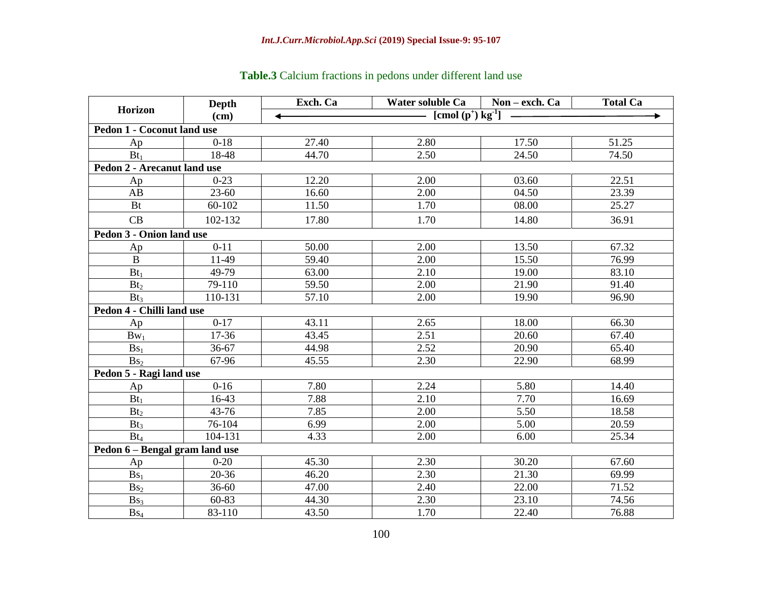|                                   | <b>Depth</b> | Exch. Ca                                     | Water soluble Ca   Non - exch. Ca |       | <b>Total Ca</b> |  |  |  |  |  |
|-----------------------------------|--------------|----------------------------------------------|-----------------------------------|-------|-----------------|--|--|--|--|--|
| <b>Horizon</b>                    | (cm)         | — [cmol (p <sup>+</sup> ) kg <sup>-1</sup> ] |                                   |       |                 |  |  |  |  |  |
| <b>Pedon 1 - Coconut land use</b> |              |                                              |                                   |       |                 |  |  |  |  |  |
| Ap                                | $0 - 18$     | 27.40                                        | 2.80                              | 17.50 | 51.25           |  |  |  |  |  |
| $Bt_1$                            | 18-48        | 44.70                                        | 2.50                              | 24.50 | 74.50           |  |  |  |  |  |
| Pedon 2 - Arecanut land use       |              |                                              |                                   |       |                 |  |  |  |  |  |
| Ap                                | $0-23$       | 12.20                                        | 2.00                              | 03.60 | 22.51           |  |  |  |  |  |
| AB                                | $23 - 60$    | 16.60                                        | 2.00                              | 04.50 | 23.39           |  |  |  |  |  |
| Bt                                | 60-102       | 11.50                                        | 1.70                              | 08.00 | 25.27           |  |  |  |  |  |
| CB                                | 102-132      | 17.80                                        | 1.70                              | 14.80 | 36.91           |  |  |  |  |  |
| Pedon 3 - Onion land use          |              |                                              |                                   |       |                 |  |  |  |  |  |
| Ap                                | $0 - 11$     | 50.00                                        | 2.00                              | 13.50 | 67.32           |  |  |  |  |  |
| $\bf{B}$                          | 11-49        | 59.40                                        | 2.00                              | 15.50 | 76.99           |  |  |  |  |  |
| $Bt_1$                            | 49-79        | 63.00                                        | 2.10                              | 19.00 | 83.10           |  |  |  |  |  |
| Bt <sub>2</sub>                   | 79-110       | 59.50                                        | 2.00                              | 21.90 | 91.40           |  |  |  |  |  |
| $Bt_3$                            | 110-131      | 57.10                                        | 2.00                              | 19.90 | 96.90           |  |  |  |  |  |
| Pedon 4 - Chilli land use         |              |                                              |                                   |       |                 |  |  |  |  |  |
| Ap                                | $0 - 17$     | 43.11                                        | 2.65                              | 18.00 | 66.30           |  |  |  |  |  |
| $Bw_1$                            | 17-36        | 43.45                                        | 2.51                              | 20.60 | 67.40           |  |  |  |  |  |
| Bs <sub>1</sub>                   | 36-67        | 44.98                                        | 2.52                              | 20.90 | 65.40           |  |  |  |  |  |
| Bs <sub>2</sub>                   | 67-96        | 45.55                                        | 2.30                              | 22.90 | 68.99           |  |  |  |  |  |
| Pedon 5 - Ragi land use           |              |                                              |                                   |       |                 |  |  |  |  |  |
| Ap                                | $0 - 16$     | 7.80                                         | 2.24                              | 5.80  | 14.40           |  |  |  |  |  |
| $Bt_1$                            | 16-43        | 7.88                                         | 2.10                              | 7.70  | 16.69           |  |  |  |  |  |
| Bt <sub>2</sub>                   | 43-76        | 7.85                                         | 2.00                              | 5.50  | 18.58           |  |  |  |  |  |
| $Bt_3$                            | 76-104       | 6.99                                         | 2.00                              | 5.00  | 20.59           |  |  |  |  |  |
| $Bt_4$                            | 104-131      | 4.33                                         | 2.00                              | 6.00  | 25.34           |  |  |  |  |  |
| Pedon 6 - Bengal gram land use    |              |                                              |                                   |       |                 |  |  |  |  |  |
| Ap                                | $0 - 20$     | 45.30                                        | 2.30                              | 30.20 | 67.60           |  |  |  |  |  |
| Bs <sub>1</sub>                   | 20-36        | 46.20                                        | 2.30                              | 21.30 | 69.99           |  |  |  |  |  |
| Bs <sub>2</sub>                   | $36 - 60$    | 47.00                                        | 2.40                              | 22.00 | 71.52           |  |  |  |  |  |
| Bs <sub>3</sub>                   | 60-83        | 44.30                                        | 2.30                              | 23.10 | 74.56           |  |  |  |  |  |
| $Bs_4$                            | 83-110       | 43.50                                        | 1.70                              | 22.40 | 76.88           |  |  |  |  |  |

# **Table.3** Calcium fractions in pedons under different land use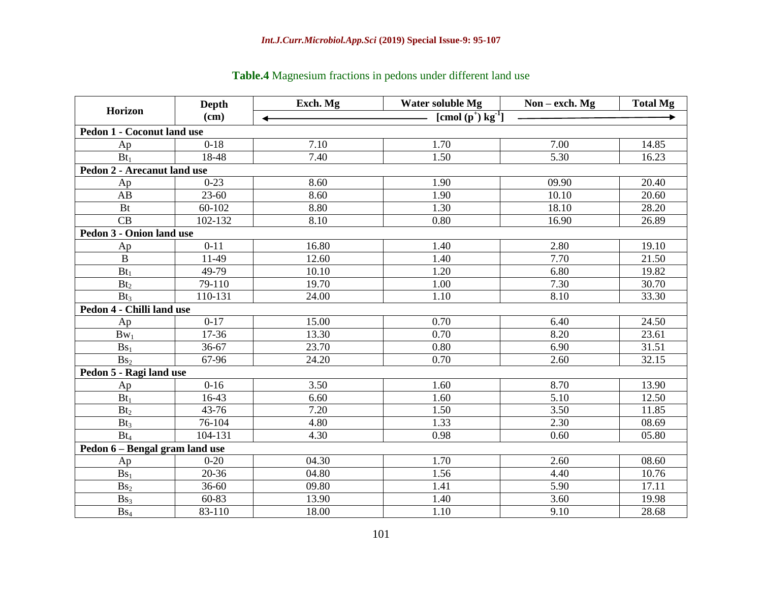|                                   | <b>Depth</b> | Exch. Mg | Water soluble Mg                 | Non – exch. $Mg$ | <b>Total Mg</b> |
|-----------------------------------|--------------|----------|----------------------------------|------------------|-----------------|
| Horizon                           | (cm)         | ↞        | [cmol $(p^+)$ kg <sup>-1</sup> ] |                  |                 |
| <b>Pedon 1 - Coconut land use</b> |              |          |                                  |                  |                 |
| Ap                                | $0-18$       | 7.10     | 1.70                             | 7.00             | 14.85           |
| $Bt_1$                            | 18-48        | 7.40     | 1.50                             | 5.30             | 16.23           |
| Pedon 2 - Arecanut land use       |              |          |                                  |                  |                 |
| Ap                                | $0 - 23$     | 8.60     | 1.90                             | 09.90            | 20.40           |
| AB                                | $23 - 60$    | 8.60     | 1.90                             | 10.10            | 20.60           |
| <b>Bt</b>                         | 60-102       | 8.80     | 1.30                             | 18.10            | 28.20           |
| CB                                | 102-132      | 8.10     | 0.80                             | 16.90            | 26.89           |
| Pedon 3 - Onion land use          |              |          |                                  |                  |                 |
| Ap                                | $0 - 11$     | 16.80    | 1.40                             | 2.80             | 19.10           |
| $\bf{B}$                          | 11-49        | 12.60    | 1.40                             | 7.70             | 21.50           |
| $Bt_1$                            | 49-79        | 10.10    | 1.20                             | 6.80             | 19.82           |
| Bt <sub>2</sub>                   | 79-110       | 19.70    | 1.00                             | 7.30             | 30.70           |
| Bt <sub>3</sub>                   | 110-131      | 24.00    | 1.10                             | 8.10             | 33.30           |
| Pedon 4 - Chilli land use         |              |          |                                  |                  |                 |
| Ap                                | $0-17$       | 15.00    | 0.70                             | 6.40             | 24.50           |
| $Bw_1$                            | 17-36        | 13.30    | 0.70                             | 8.20             | 23.61           |
| $Bs_1$                            | 36-67        | 23.70    | 0.80                             | 6.90             | 31.51           |
| Bs <sub>2</sub>                   | 67-96        | 24.20    | 0.70                             | 2.60             | 32.15           |
| Pedon 5 - Ragi land use           |              |          |                                  |                  |                 |
| Ap                                | $0 - 16$     | 3.50     | 1.60                             | 8.70             | 13.90           |
| $Bt_1$                            | 16-43        | 6.60     | 1.60                             | 5.10             | 12.50           |
| Bt <sub>2</sub>                   | 43-76        | 7.20     | 1.50                             | 3.50             | 11.85           |
| $Bt_3$                            | 76-104       | 4.80     | 1.33                             | 2.30             | 08.69           |
| $Bt_4$                            | 104-131      | 4.30     | 0.98                             | 0.60             | 05.80           |
| Pedon 6 - Bengal gram land use    |              |          |                                  |                  |                 |
| Ap                                | $0 - 20$     | 04.30    | 1.70                             | 2.60             | 08.60           |
| $Bs_1$                            | 20-36        | 04.80    | 1.56                             | 4.40             | 10.76           |
| Bs <sub>2</sub>                   | $36 - 60$    | 09.80    | 1.41                             | 5.90             | 17.11           |
| Bs <sub>3</sub>                   | 60-83        | 13.90    | 1.40                             | 3.60             | 19.98           |
| $\mathbf{Bs}_4$                   | 83-110       | 18.00    | 1.10                             | 9.10             | 28.68           |

## **Table.4** Magnesium fractions in pedons under different land use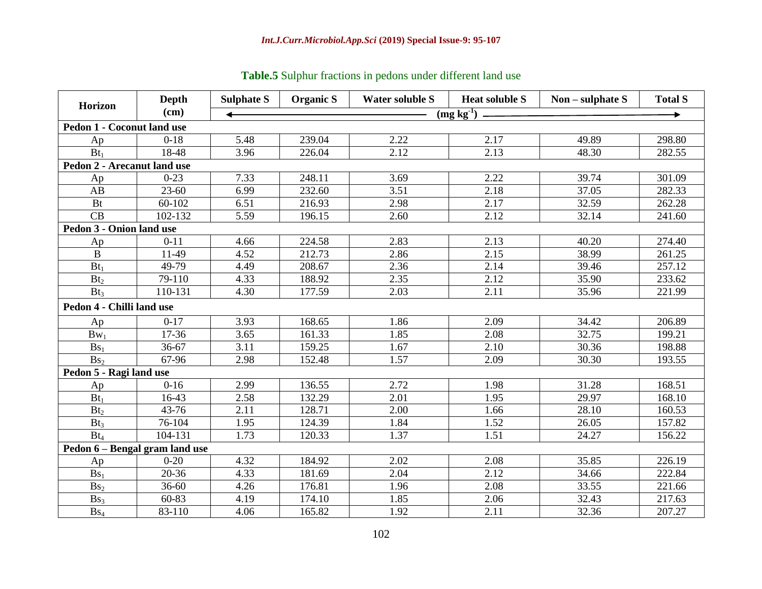| <b>Horizon</b>                    | <b>Depth</b> | <b>Sulphate S</b>          | <b>Organic S</b> | <b>Water soluble S</b> |      | Non $-$ sulphate $S$ | <b>Total S</b> |  |  |  |  |
|-----------------------------------|--------------|----------------------------|------------------|------------------------|------|----------------------|----------------|--|--|--|--|
|                                   | $(cm)$       | $(mg\ \overline{kg^{-1}})$ |                  |                        |      |                      |                |  |  |  |  |
| <b>Pedon 1 - Coconut land use</b> |              |                            |                  |                        |      |                      |                |  |  |  |  |
| Ap                                | $0-18$       | 5.48                       | 239.04           | 2.22                   | 2.17 | 49.89                | 298.80         |  |  |  |  |
| $Bt_1$                            | 18-48        | 3.96                       | 226.04           | 2.12                   | 2.13 | 48.30                | 282.55         |  |  |  |  |
| Pedon 2 - Arecanut land use       |              |                            |                  |                        |      |                      |                |  |  |  |  |
| Ap                                | $0 - 23$     | 7.33                       | 248.11           | 3.69                   | 2.22 | 39.74                | 301.09         |  |  |  |  |
| AB                                | $23 - 60$    | 6.99                       | 232.60           | 3.51                   | 2.18 | 37.05                | 282.33         |  |  |  |  |
| <b>Bt</b>                         | 60-102       | 6.51                       | 216.93           | 2.98                   | 2.17 | 32.59                | 262.28         |  |  |  |  |
| CB                                | 102-132      | 5.59                       | 196.15           | 2.60                   | 2.12 | 32.14                | 241.60         |  |  |  |  |
| Pedon 3 - Onion land use          |              |                            |                  |                        |      |                      |                |  |  |  |  |
| Ap                                | $0 - 11$     | 4.66                       | 224.58           | 2.83                   | 2.13 | 40.20                | 274.40         |  |  |  |  |
| $\mathbf{B}$                      | 11-49        | 4.52                       | 212.73           | 2.86                   | 2.15 | 38.99                | 261.25         |  |  |  |  |
| $Bt_1$                            | 49-79        | 4.49                       | 208.67           | 2.36                   | 2.14 | 39.46                | 257.12         |  |  |  |  |
| Bt <sub>2</sub>                   | 79-110       | 4.33                       | 188.92           | 2.35                   | 2.12 | 35.90                | 233.62         |  |  |  |  |
| Bt <sub>3</sub>                   | 110-131      | 4.30                       | 177.59           | 2.03                   | 2.11 | 35.96                | 221.99         |  |  |  |  |
| Pedon 4 - Chilli land use         |              |                            |                  |                        |      |                      |                |  |  |  |  |
| Ap                                | $0-17$       | 3.93                       | 168.65           | 1.86                   | 2.09 | 34.42                | 206.89         |  |  |  |  |
| $Bw_1$                            | 17-36        | 3.65                       | 161.33           | 1.85                   | 2.08 | 32.75                | 199.21         |  |  |  |  |
| $Bs_1$                            | 36-67        | 3.11                       | 159.25           | 1.67                   | 2.10 | 30.36                | 198.88         |  |  |  |  |
| Bs <sub>2</sub>                   | 67-96        | 2.98                       | 152.48           | 1.57                   | 2.09 | 30.30                | 193.55         |  |  |  |  |
| Pedon 5 - Ragi land use           |              |                            |                  |                        |      |                      |                |  |  |  |  |
| Ap                                | $0 - 16$     | 2.99                       | 136.55           | 2.72                   | 1.98 | 31.28                | 168.51         |  |  |  |  |
| $Bt_1$                            | 16-43        | 2.58                       | 132.29           | 2.01                   | 1.95 | 29.97                | 168.10         |  |  |  |  |
| Bt <sub>2</sub>                   | 43-76        | 2.11                       | 128.71           | 2.00                   | 1.66 | 28.10                | 160.53         |  |  |  |  |
| Bt <sub>3</sub>                   | 76-104       | 1.95                       | 124.39           | 1.84                   | 1.52 | 26.05                | 157.82         |  |  |  |  |
| $Bt_4$                            | 104-131      | 1.73                       | 120.33           | 1.37                   | 1.51 | 24.27                | 156.22         |  |  |  |  |
| Pedon 6 – Bengal gram land use    |              |                            |                  |                        |      |                      |                |  |  |  |  |
| Ap                                | $0 - 20$     | 4.32                       | 184.92           | 2.02                   | 2.08 | 35.85                | 226.19         |  |  |  |  |
| Bs <sub>1</sub>                   | $20 - 36$    | 4.33                       | 181.69           | 2.04                   | 2.12 | 34.66                | 222.84         |  |  |  |  |
| Bs <sub>2</sub>                   | $36 - 60$    | 4.26                       | 176.81           | 1.96                   | 2.08 | 33.55                | 221.66         |  |  |  |  |
| Bs <sub>3</sub>                   | 60-83        | 4.19                       | 174.10           | 1.85                   | 2.06 | 32.43                | 217.63         |  |  |  |  |
| $\overline{Bs_4}$                 | 83-110       | 4.06                       | 165.82           | 1.92                   | 2.11 | 32.36                | 207.27         |  |  |  |  |

**Table.5** Sulphur fractions in pedons under different land use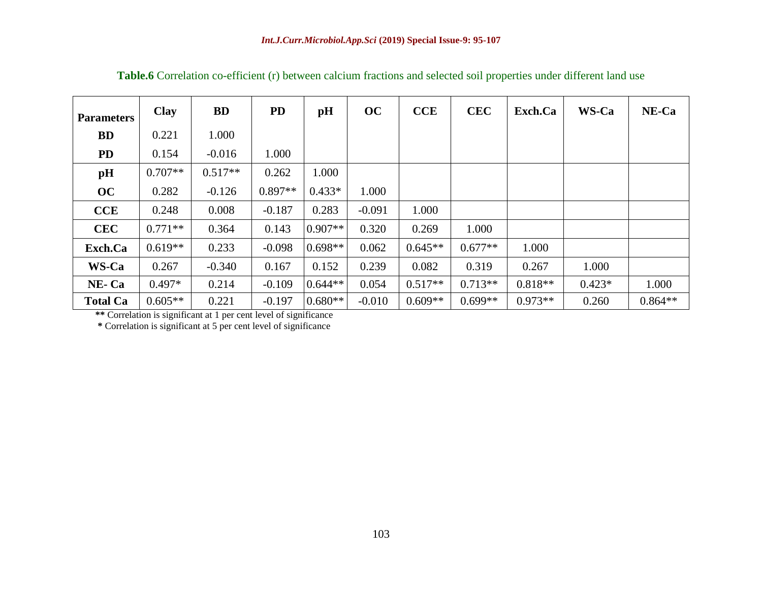| <b>Parameters</b> | Clay      | <b>BD</b> | <b>PD</b> | pH        | OC       | <b>CCE</b> | <b>CEC</b> | Exch.Ca   | WS-Ca    | NE-Ca     |
|-------------------|-----------|-----------|-----------|-----------|----------|------------|------------|-----------|----------|-----------|
| <b>BD</b>         | 0.221     | 1.000     |           |           |          |            |            |           |          |           |
| PD                | 0.154     | $-0.016$  | 1.000     |           |          |            |            |           |          |           |
| pH                | $0.707**$ | $0.517**$ | 0.262     | 1.000     |          |            |            |           |          |           |
| OC                | 0.282     | $-0.126$  | $0.897**$ | $0.433*$  | 1.000    |            |            |           |          |           |
| CCE               | 0.248     | 0.008     | $-0.187$  | 0.283     | $-0.091$ | 1.000      |            |           |          |           |
| <b>CEC</b>        | $0.771**$ | 0.364     | 0.143     | $0.907**$ | 0.320    | 0.269      | 1.000      |           |          |           |
| Exch.Ca           | $0.619**$ | 0.233     | $-0.098$  | $0.698**$ | 0.062    | $0.645**$  | $0.677**$  | 1.000     |          |           |
| WS-Ca             | 0.267     | $-0.340$  | 0.167     | 0.152     | 0.239    | 0.082      | 0.319      | 0.267     | 1.000    |           |
| NE-Ca             | $0.497*$  | 0.214     | $-0.109$  | $0.644**$ | 0.054    | $0.517**$  | $0.713**$  | $0.818**$ | $0.423*$ | 1.000     |
| <b>Total Ca</b>   | $0.605**$ | 0.221     | $-0.197$  | $0.680**$ | $-0.010$ | $0.609**$  | $0.699**$  | $0.973**$ | 0.260    | $0.864**$ |

**Table.6** Correlation co-efficient (r) between calcium fractions and selected soil properties under different land use

**\*\*** Correlation is significant at 1 per cent level of significance

**\*** Correlation is significant at 5 per cent level of significance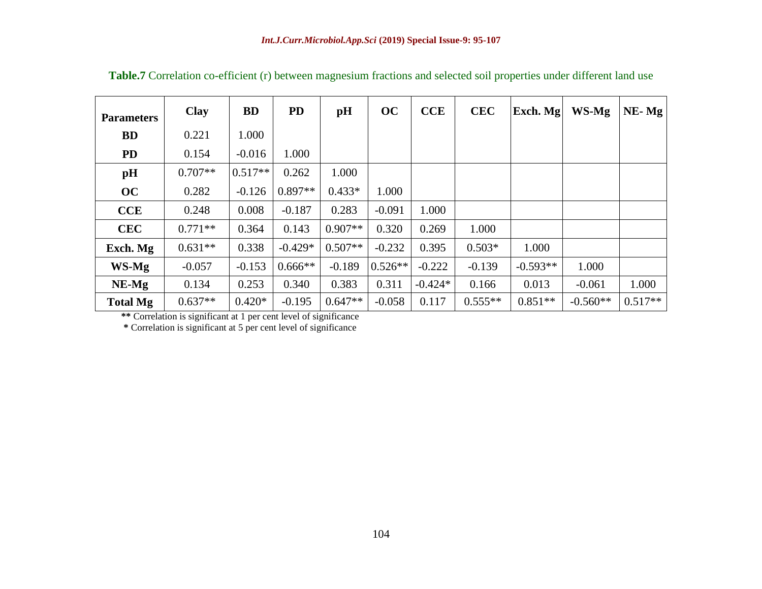| <b>Parameters</b> | <b>Clay</b> | <b>BD</b> | <b>PD</b> | pH        | OC        | <b>CCE</b> | <b>CEC</b> | Exch. Mg   | WS-Mg      | $NE- Mg$  |
|-------------------|-------------|-----------|-----------|-----------|-----------|------------|------------|------------|------------|-----------|
| <b>BD</b>         | 0.221       | 1.000     |           |           |           |            |            |            |            |           |
| <b>PD</b>         | 0.154       | $-0.016$  | 1.000     |           |           |            |            |            |            |           |
| pH                | $0.707**$   | $0.517**$ | 0.262     | 1.000     |           |            |            |            |            |           |
| OC                | 0.282       | $-0.126$  | $0.897**$ | $0.433*$  | 1.000     |            |            |            |            |           |
| CCE               | 0.248       | 0.008     | $-0.187$  | 0.283     | $-0.091$  | 1.000      |            |            |            |           |
| <b>CEC</b>        | $0.771**$   | 0.364     | 0.143     | $0.907**$ | 0.320     | 0.269      | 1.000      |            |            |           |
| Exch. Mg          | $0.631**$   | 0.338     | $-0.429*$ | $0.507**$ | $-0.232$  | 0.395      | $0.503*$   | 1.000      |            |           |
| WS-Mg             | $-0.057$    | $-0.153$  | $0.666**$ | $-0.189$  | $0.526**$ | $-0.222$   | $-0.139$   | $-0.593**$ | 1.000      |           |
| $NE-Mg$           | 0.134       | 0.253     | 0.340     | 0.383     | 0.311     | $-0.424*$  | 0.166      | 0.013      | $-0.061$   | 1.000     |
| <b>Total Mg</b>   | $0.637**$   | $0.420*$  | $-0.195$  | $0.647**$ | $-0.058$  | 0.117      | $0.555**$  | $0.851**$  | $-0.560**$ | $0.517**$ |

**Table.7** Correlation co-efficient (r) between magnesium fractions and selected soil properties under different land use

**\*\*** Correlation is significant at 1 per cent level of significance

**\*** Correlation is significant at 5 per cent level of significance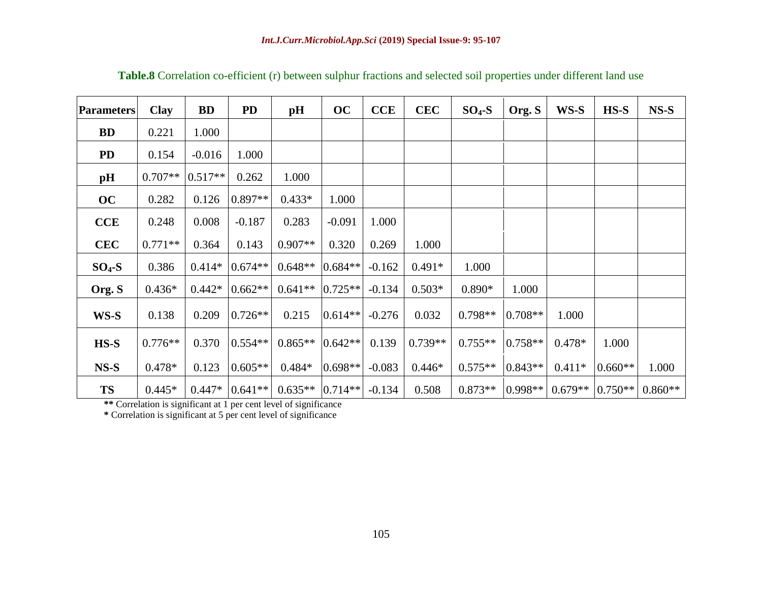| <b>Parameters</b> | <b>Clay</b> | <b>BD</b> | <b>PD</b> | pH        | oc        | <b>CCE</b> | <b>CEC</b> | $SO4-S$   | Org. S    | WS-S      | $HS-S$    | $NS-S$    |
|-------------------|-------------|-----------|-----------|-----------|-----------|------------|------------|-----------|-----------|-----------|-----------|-----------|
| <b>BD</b>         | 0.221       | 1.000     |           |           |           |            |            |           |           |           |           |           |
| <b>PD</b>         | 0.154       | $-0.016$  | 1.000     |           |           |            |            |           |           |           |           |           |
| pH                | $0.707**$   | $0.517**$ | 0.262     | 1.000     |           |            |            |           |           |           |           |           |
| OC                | 0.282       | 0.126     | $0.897**$ | $0.433*$  | 1.000     |            |            |           |           |           |           |           |
| <b>CCE</b>        | 0.248       | 0.008     | $-0.187$  | 0.283     | $-0.091$  | 1.000      |            |           |           |           |           |           |
| <b>CEC</b>        | $0.771**$   | 0.364     | 0.143     | $0.907**$ | 0.320     | 0.269      | 1.000      |           |           |           |           |           |
| $SO_4-S$          | 0.386       | $0.414*$  | $0.674**$ | $0.648**$ | $0.684**$ | $-0.162$   | $0.491*$   | 1.000     |           |           |           |           |
| Org. S            | $0.436*$    | $0.442*$  | $0.662**$ | $0.641**$ | $0.725**$ | $-0.134$   | $0.503*$   | $0.890*$  | 1.000     |           |           |           |
| WS-S              | 0.138       | 0.209     | $0.726**$ | 0.215     | $0.614**$ | $-0.276$   | 0.032      | $0.798**$ | $0.708**$ | 1.000     |           |           |
| $HS-S$            | $0.776**$   | 0.370     | $0.554**$ | $0.865**$ | $0.642**$ | 0.139      | $0.739**$  | $0.755**$ | $0.758**$ | $0.478*$  | 1.000     |           |
| $NS-S$            | $0.478*$    | 0.123     | $0.605**$ | $0.484*$  | $0.698**$ | $-0.083$   | $0.446*$   | $0.575**$ | $0.843**$ | $0.411*$  | $0.660**$ | 1.000     |
| <b>TS</b>         | $0.445*$    | $0.447*$  | $0.641**$ | $0.635**$ | $0.714**$ | $-0.134$   | 0.508      | $0.873**$ | $0.998**$ | $0.679**$ | $0.750**$ | $0.860**$ |

**Table.8** Correlation co-efficient (r) between sulphur fractions and selected soil properties under different land use

**\*\*** Correlation is significant at 1 per cent level of significance

**\*** Correlation is significant at 5 per cent level of significance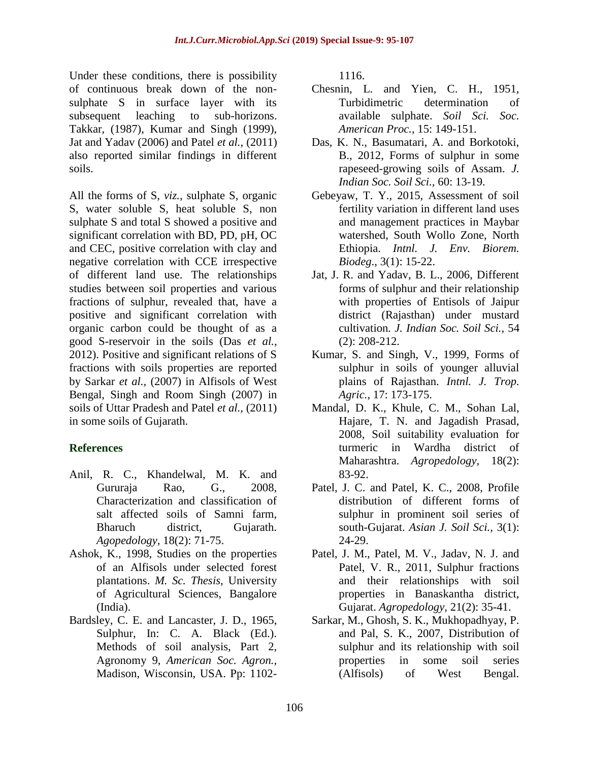Under these conditions, there is possibility of continuous break down of the nonsulphate S in surface layer with its subsequent leaching to sub-horizons. Takkar, (1987), Kumar and Singh (1999), Jat and Yadav (2006) and Patel *et al.,* (2011) also reported similar findings in different soils.

All the forms of S, *viz.,* sulphate S, organic S, water soluble S, heat soluble S, non sulphate S and total S showed a positive and significant correlation with BD, PD, pH, OC and CEC, positive correlation with clay and negative correlation with CCE irrespective of different land use. The relationships studies between soil properties and various fractions of sulphur, revealed that, have a positive and significant correlation with organic carbon could be thought of as a good S-reservoir in the soils (Das *et al.,*  2012). Positive and significant relations of S fractions with soils properties are reported by Sarkar *et al.,* (2007) in Alfisols of West Bengal, Singh and Room Singh (2007) in soils of Uttar Pradesh and Patel *et al.,* (2011) in some soils of Gujarath.

### **References**

- Anil, R. C., Khandelwal, M. K. and Gururaja Rao, G., 2008, Characterization and classification of salt affected soils of Samni farm, Bharuch district, Gujarath. *Agopedology,* 18(2): 71-75.
- Ashok, K., 1998, Studies on the properties of an Alfisols under selected forest plantations. *M. Sc. Thesis,* University of Agricultural Sciences, Bangalore (India).
- Bardsley, C. E. and Lancaster, J. D., 1965, Sulphur, In: C. A. Black (Ed.). Methods of soil analysis, Part 2, Agronomy 9, *American Soc. Agron.,* Madison, Wisconsin, USA. Pp: 1102-

1116.

- Chesnin, L. and Yien, C. H., 1951, Turbidimetric determination of available sulphate. *Soil Sci. Soc. American Proc.,* 15: 149-151.
- Das, K. N., Basumatari, A. and Borkotoki, B., 2012, Forms of sulphur in some rapeseed-growing soils of Assam. *J. Indian Soc. Soil Sci.,* 60: 13-19.
- Gebeyaw, T. Y., 2015, Assessment of soil fertility variation in different land uses and management practices in Maybar watershed, South Wollo Zone, North Ethiopia. *Intnl. J. Env. Biorem. Biodeg*., 3(1): 15-22.
- Jat, J. R. and Yadav, B. L., 2006, Different forms of sulphur and their relationship with properties of Entisols of Jaipur district (Rajasthan) under mustard cultivation*. J. Indian Soc. Soil Sci.,* 54 (2): 208-212.
- Kumar, S. and Singh, V., 1999, Forms of sulphur in soils of younger alluvial plains of Rajasthan. *Intnl. J. Trop. Agric.,* 17: 173-175.
- Mandal, D. K., Khule, C. M., Sohan Lal, Hajare, T. N. and Jagadish Prasad, 2008, Soil suitability evaluation for turmeric in Wardha district of Maharashtra. *Agropedology,* 18(2): 83-92.
- Patel, J. C. and Patel, K. C., 2008, Profile distribution of different forms of sulphur in prominent soil series of south*-*Gujarat. *Asian J. Soil Sci.,* 3(1): 24-29.
- Patel, J. M., Patel, M. V., Jadav, N. J. and Patel, V. R., 2011, Sulphur fractions and their relationships with soil properties in Banaskantha district, Gujarat. *Agropedology,* 21(2): 35-41.
- Sarkar, M., Ghosh, S. K., Mukhopadhyay, P. and Pal, S. K., 2007, Distribution of sulphur and its relationship with soil properties in some soil series (Alfisols) of West Bengal.